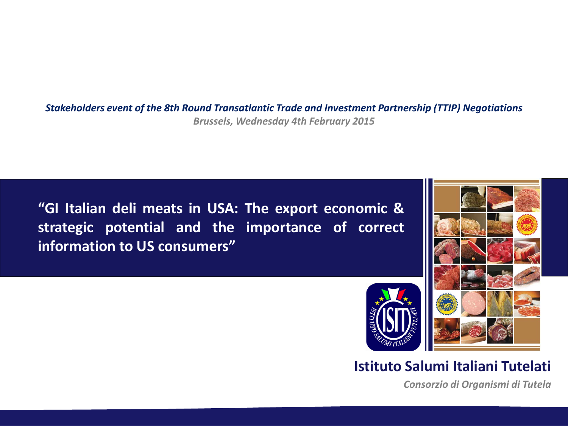*Stakeholders event of the 8th Round Transatlantic Trade and Investment Partnership (TTIP) Negotiations Brussels, Wednesday 4th February 2015*

**"GI Italian deli meats in USA: The export economic & strategic potential and the importance of correct information to US consumers"**



### **Istituto Salumi Italiani Tutelati**

*Consorzio di Organismi di Tutela*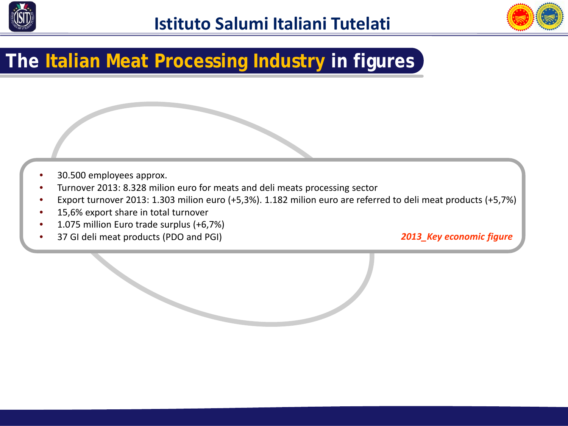



# **The Italian Meat Processing Industry in figures**

- 30.500 employees approx.
- Turnover 2013: 8.328 milion euro for meats and deli meats processing sector
- Export turnover 2013: 1.303 milion euro (+5,3%). 1.182 milion euro are referred to deli meat products (+5,7%)
- 15,6% export share in total turnover
- 1.075 million Euro trade surplus (+6,7%)
- 37 GI deli meat products (PDO and PGI)

*2013\_Key economic figure*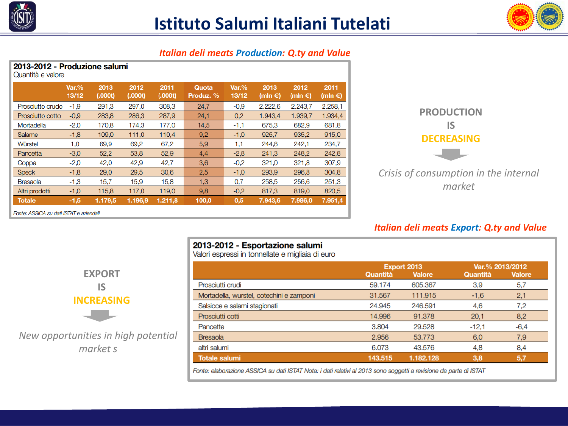



#### *Italian deli meats Production: Q.ty and Value*

2013-2012 - Esportazione salumi Valori espressi in tonnellate e migliaia di euro

| 2013-2012 - Proguzione Salumn<br>Quantità e valore |                   |                 |                 |                 |                    |                |                           |                           |                           |
|----------------------------------------------------|-------------------|-----------------|-----------------|-----------------|--------------------|----------------|---------------------------|---------------------------|---------------------------|
|                                                    | $Var.$ %<br>13/12 | 2013<br>(.000t) | 2012<br>(.000t) | 2011<br>(.000t) | Quota<br>Produz. % | Var.%<br>13/12 | 2013<br>(mln $\epsilon$ ) | 2012<br>(mln $\epsilon$ ) | 2011<br>(mln $\epsilon$ ) |
| Prosciutto crudo                                   | $-1,9$            | 291.3           | 297,0           | 308.3           | 24,7               | $-0.9$         | 2.222.6                   | 2.243.7                   | 2.258,1                   |
| Prosciutto cotto                                   | $-0.9$            | 283,8           | 286.3           | 287.9           | 24.1               | 0,2            | 1.943,4                   | 1.939,7                   | 1.934,4                   |
| Mortadella                                         | $-2.0$            | 170.8           | 174.3           | 177,0           | 14,5               | $-1,1$         | 675.3                     | 682,9                     | 681,8                     |
| <b>Salame</b>                                      | $-1,8$            | 109,0           | 111,0           | 110,4           | 9.2                | $-1,0$         | 925,7                     | 935.2                     | 915,0                     |
| Würstel                                            | 1,0               | 69,9            | 69,2            | 67,2            | 5,9                | 1,1            | 244,8                     | 242.1                     | 234,7                     |
| Pancetta                                           | $-3,0$            | 52,2            | 53,8            | 52,9            | 4,4                | $-2,8$         | 241,3                     | 248,2                     | 242,8                     |
| Coppa                                              | $-2,0$            | 42,0            | 42,9            | 42,7            | 3,6                | $-0.2$         | 321,0                     | 321,8                     | 307,9                     |
| <b>Speck</b>                                       | $-1,8$            | 29,0            | 29,5            | 30,6            | 2,5                | $-1,0$         | 293.9                     | 296.8                     | 304,8                     |
| <b>Bresaola</b>                                    | $-1,3$            | 15,7            | 15,9            | 15,8            | 1,3                | 0,7            | 258,5                     | 256.6                     | 251,3                     |
| Altri prodotti                                     | $-1,0$            | 115,8           | 117,0           | 119,0           | 9,8                | $-0,2$         | 817,3                     | 819,0                     | 820,5                     |
| <b>Totale</b>                                      | $-1,5$            | 1.179.5         | 1.196,9         | 1.211.8         | 100,0              | 0,5            | 7.943.6                   | 7.986.0                   | 7.951,4                   |
| Eonto: ASSICA su dati ISTAT e aziendali            |                   |                 |                 |                 |                    |                |                           |                           |                           |



*Crisis of consumption in the internal market*

#### *Italian deli meats Export: Q.ty and Value*

| JI I.C. ASSICA SU UGU ISTAT C dzici ludi. |  |  |  |
|-------------------------------------------|--|--|--|
|                                           |  |  |  |

2012.2012. **Droduziono** columi



*New opportunities in high potential market s*

|                                          | Export 2013 |               | Var.% 2013/2012 |               |
|------------------------------------------|-------------|---------------|-----------------|---------------|
|                                          | Quantità    | <b>Valore</b> | Quantità        | <b>Valore</b> |
| Prosciutti crudi                         | 59.174      | 605.367       | 3,9             | 5,7           |
| Mortadella, wurstel, cotechini e zamponi | 31.567      | 111.915       | $-1,6$          | 2,1           |
| Salsicce e salami stagionati             | 24.945      | 246.591       | 4,6             | 7,2           |
| Prosciutti cotti                         | 14.996      | 91.378        | 20.1            | 8,2           |
| Pancette                                 | 3.804       | 29.528        | $-12,1$         | $-6.4$        |
| <b>Bresaola</b>                          | 2.956       | 53.773        | 6,0             | 7,9           |
| altri salumi                             | 6.073       | 43.576        | 4,8             | 8,4           |
| <b>Totale salumi</b>                     | 143.515     | 1.182.128     | 3,8             | 5,7           |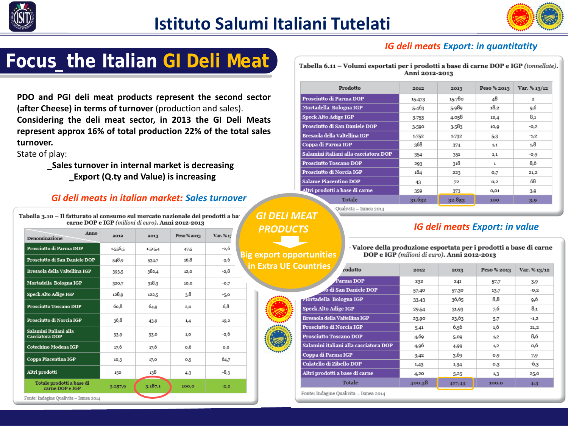



## **Focus\_the Italian GI Deli Meat**

**PDO and PGI deli meat products represent the second sector (after Cheese) in terms of turnover** (production and sales). **Considering the deli meat sector, in 2013 the GI Deli Meats represent approx 16% of total production 22% of the total sales turnover.**

State of play:

 **\_Sales turnover in internal market is decreasing \_Export (Q.ty and Value) is increasing**

#### *GI deli meats in italian market: Sales turnover*

| Anno<br>Denominazione                        | 2012    | 2013    | Peso % 2013      | Var. %13 |
|----------------------------------------------|---------|---------|------------------|----------|
| Prosciutto di Parma DOP                      | 1.556,5 | 1.515,4 | 47,5             | $-2,6$   |
| Prosciutto di San Daniele DOP                | 548,9   | 534,7   | 16,8             | $-2,6$   |
| Bresaola della Valtellina IGP                | 393,5   | 382,4   | 12,0             | $-2,8$   |
| Mortadella Bologna IGP                       | 320,7   | 318,3   | 10,0             | $-0,7$   |
| Speck Alto Adige IGP                         | 128,9   | 122,5   | 3,8              | $-5,0$   |
| Prosciutto Toscano DOP                       | 6o.8    | 64,9    | 2,0              | 6,8      |
| Prosciutto di Norcia IGP                     | 36,8    | 43,9    | 1,4              | 19,2     |
| Salamini Italiani alla<br>Cacciatora DOP     | 33,9    | 33,0    | 1,0              | $-2,6$   |
| Cotechino Modena IGP                         | 17,6    | 17,6    | o,6              | O, O     |
| Coppa Piacentina IGP                         | 10,3    | 17,0    | O <sub>3</sub> 5 | 64,7     |
| Altri prodotti                               | 150     | 138     | 4,3              | $-8,3$   |
| Totale prodotti a base di<br>carne DOP e IGP | 3.257,9 | 3.187.1 | 100,0            | $-2,2$   |

#### *IG deli meats Export: in quantitatity*

Tabella 6.11 - Volumi esportati per i prodotti a base di carne DOP e IGP (tonnellate). Anni 2012-2013

| Prodotto                              | 2012   | 2013   | Peso % 2013      | Var. % 13/12   |
|---------------------------------------|--------|--------|------------------|----------------|
| Prosciutto di Parma DOP               | 15-473 | 15.780 | 48               | $\overline{2}$ |
| Mortadella Bologna IGP                | 5-463  | 5.989  | 18,2             | 9,6            |
| <b>Speck Alto Adige IGP</b>           | 3.753  | 4.058  | 12,4             | 8,1            |
| Prosciutto di San Daniele DOP         | 3-590  | 3-583  | 10,9             | $-0,2$         |
| Bresaola della Valtellina IGP         | 1.752  | 1.732  | 5.3              | $-1,2$         |
| Coppa di Parma IGP                    | 368    | 374    | 1,1              | 1,8            |
| Salamini italiani alla cacciatora DOP | 354    | 351    | 1,1              | $-0,9$         |
| Prosciutto Toscano DOP                | 293    | 318    | $\mathbf{1}$     | 8.6            |
| Prosciutto di Norcia IGP              | 184    | 223    | 0,7              | 21,2           |
| <b>Salame Piacentino DOP</b>          | 43     | 72     | O <sub>1</sub> 2 | 68             |
| Altri prodotti a base di carne        | 359    | 373    | 0,01             | 3,9            |
| <b>Totale</b>                         | 31.632 | 32.853 | 100              | 3.9            |

Qualivita - Ismea 2014

### *GI DELI MEAT PRODUCTS*

**Big export opportunities in Extra UE C** 



#### *IG deli meats Export: in value*

Valore della produzione esportata per i prodotti a base di carne DOP e IGP (milioni di euro). Anni 2012-2013

| ountries<br>rodotto                   | 2012   | 2013   | Peso % 2013 | Var. % 13/12 |
|---------------------------------------|--------|--------|-------------|--------------|
| Parma DOP                             | 232    | 241    | 57,7        | 3,9          |
| o di San Daniele DOP                  | 57,40  | 57,30  | 13,7        | $-0,2$       |
| <b>Mortadella Bologna IGP</b>         | 33,43  | 36,65  | 8,8         | 9,6          |
| <b>Speck Alto Adige IGP</b>           | 29,54  | 31,93  | 7,6         | 8,1          |
| Bresaola della Valtellina IGP         | 23,90  | 23,63  | 5,7         | $-1,2$       |
| Prosciutto di Norcia IGP              | 5,41   | 6,56   | 1,6         | 21,2         |
| <b>Prosciutto Toscano DOP</b>         | 4,69   | 5,09   | 1,2         | 8,6          |
| Salamini italiani alla cacciatora DOP | 4,96   | 4,99   | 1,2         | o,6          |
| Coppa di Parma IGP                    | 3,42   | 3,69   | 0,9         | 7,9          |
| Culatello di Zibello DOP              | 1,43   | 1,34   | 0,3         | $-6,3$       |
| Altri prodotti a base di carne        | 4,20   | 5,25   | 1,3         | 25,0         |
| <b>Totale</b>                         | 400,38 | 417,43 | 100,0       | 4,3          |

Fonte: Indagine Qualivita - Ismea 2014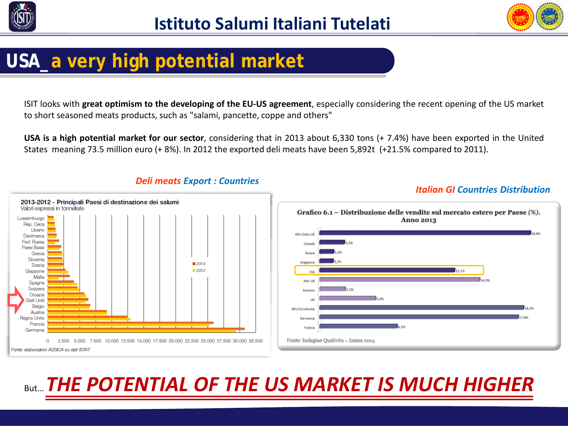



# **USA\_a very high potential market**

ISIT looks with **great optimism to the developing of the EU-US agreement**, especially considering the recent opening of the US market to short seasoned meats products, such as "salami, pancette, coppe and others"

**USA is a high potential market for our sector**, considering that in 2013 about 6,330 tons (+ 7.4%) have been exported in the United States meaning 73.5 million euro (+ 8%). In 2012 the exported deli meats have been 5,892t (+21.5% compared to 2011).





### *Deli meats Export : Countries Italian GI Countries Distribution*

## **But... THE POTENTIAL OF THE US MARKET IS MUCH HIGHER**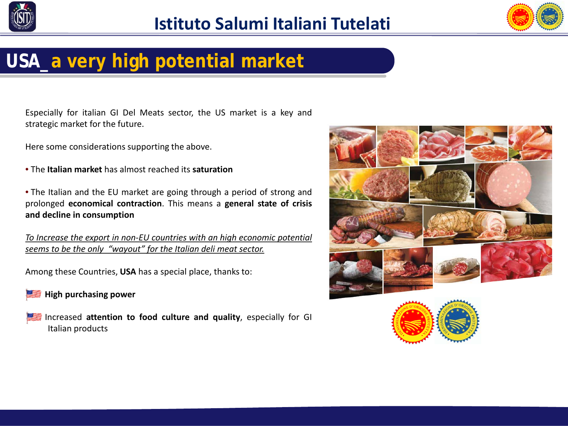



# **USA\_a very high potential market**

Especially for italian GI Del Meats sector, the US market is a key and strategic market for the future.

Here some considerations supporting the above.

- The **Italian market** has almost reached its **saturation**
- The Italian and the EU market are going through a period of strong and prolonged **economical contraction**. This means a **general state of crisis and decline in consumption**

*To Increase the export in non-EU countries with an high economic potential seems to be the only "wayout" for the Italian deli meat sector.*

Among these Countries, **USA** has a special place, thanks to:

 **High purchasing power**

 Increased **attention to food culture and quality**, especially for GI Italian products



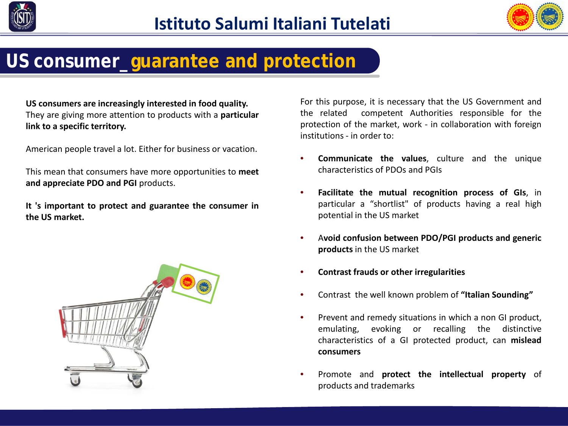



## **US consumer\_guarantee and protection**

**US consumers are increasingly interested in food quality.** They are giving more attention to products with a **particular link to a specific territory.**

American people travel a lot. Either for business or vacation.

This mean that consumers have more opportunities to **meet and appreciate PDO and PGI** products.

**It 's important to protect and guarantee the consumer in the US market.**



For this purpose, it is necessary that the US Government and the related competent Authorities responsible for the protection of the market, work - in collaboration with foreign institutions - in order to:

- **Communicate the values**, culture and the unique characteristics of PDOs and PGIs
- **Facilitate the mutual recognition process of GIs**, in particular a "shortlist" of products having a real high potential in the US market
- A**void confusion between PDO/PGI products and generic products** in the US market
- **Contrast frauds or other irregularities**
- Contrast the well known problem of **"Italian Sounding"**
- Prevent and remedy situations in which a non GI product, emulating, evoking or recalling the distinctive characteristics of a GI protected product, can **mislead consumers**
- Promote and **protect the intellectual property** of products and trademarks